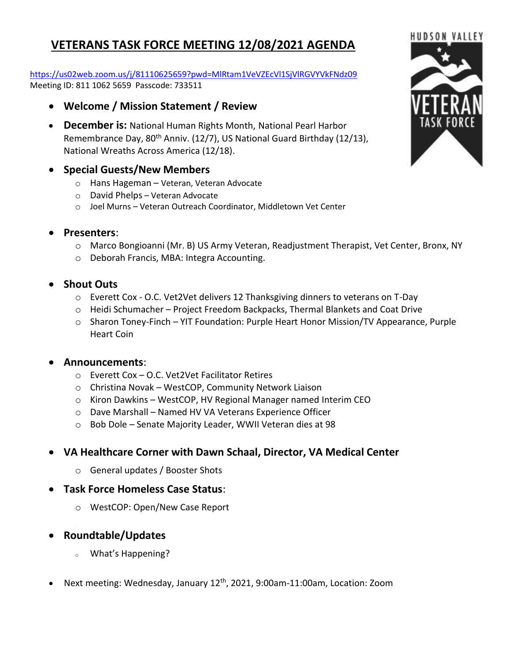# **VETERANS TASK FORCE MEETING 12/08/2021 AGENDA**

#### <https://us02web.zoom.us/j/81110625659?pwd=MlRtam1VeVZEcVl1SjVlRGVYVkFNdz09> Meeting ID: 811 1062 5659 Passcode: 733511

- **Welcome / Mission Statement / Review**
- **December is:** National Human Rights Month, National Pearl Harbor Remembrance Day, 80<sup>th</sup> Anniv. (12/7), US National Guard Birthday (12/13), National Wreaths Across America (12/18).

### • **Special Guests/New Members**

- o Hans Hageman Veteran, Veteran Advocate
- o David Phelps Veteran Advocate
- o Joel Murns Veteran Outreach Coordinator, Middletown Vet Center
- **Presenters**:
	- o Marco Bongioanni (Mr. B) US Army Veteran, Readjustment Therapist, Vet Center, Bronx, NY
	- o Deborah Francis, MBA: Integra Accounting.
- **Shout Outs**
	- o Everett Cox O.C. Vet2Vet delivers 12 Thanksgiving dinners to veterans on T-Day
	- o Heidi Schumacher Project Freedom Backpacks, Thermal Blankets and Coat Drive
	- $\circ$  Sharon Toney-Finch YIT Foundation: Purple Heart Honor Mission/TV Appearance, Purple Heart Coin

### • **Announcements**:

- o Everett Cox O.C. Vet2Vet Facilitator Retires
- o Christina Novak WestCOP, Community Network Liaison
- o Kiron Dawkins WestCOP, HV Regional Manager named Interim CEO
- o Dave Marshall Named HV VA Veterans Experience Officer
- o Bob Dole Senate Majority Leader, WWII Veteran dies at 98
- **VA Healthcare Corner with Dawn Schaal, Director, VA Medical Center**
	- o General updates / Booster Shots
- **Task Force Homeless Case Status**:
	- o WestCOP: Open/New Case Report
- **Roundtable/Updates**
	- <sup>o</sup> What's Happening?
- Next meeting: Wednesday, January 12<sup>th</sup>, 2021, 9:00am-11:00am, Location: Zoom

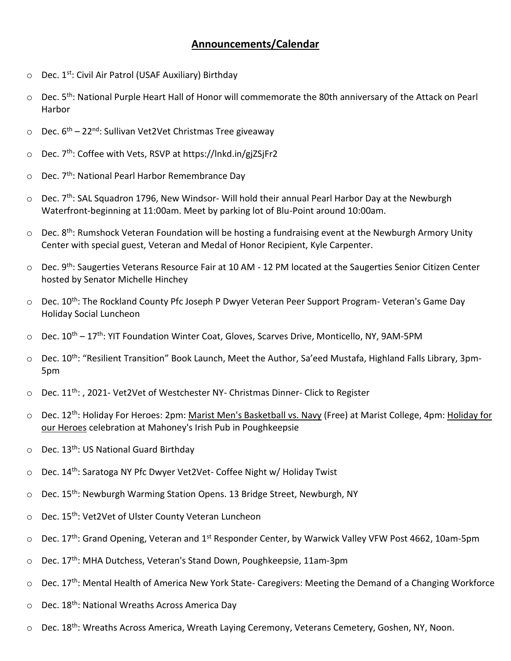## **Announcements/Calendar**

- $\circ$  Dec. 1<sup>st</sup>: Civil Air Patrol (USAF Auxiliary) Birthday
- $\circ$  Dec. 5<sup>th</sup>: National Purple Heart Hall of Honor will commemorate the 80th anniversary of the Attack on Pearl Harbor
- Dec. 6<sup>th</sup> 22<sup>nd</sup>: Sullivan Vet2Vet Christmas Tree giveaway
- $\circ$  Dec. 7<sup>th</sup>: Coffee with Vets, RSVP at https://lnkd.in/giZSjFr2
- $\circ$  Dec. 7<sup>th</sup>: National Pearl Harbor Remembrance Day
- $\circ$  Dec. 7<sup>th</sup>: SAL Squadron 1796, New Windsor- Will hold their annual Pearl Harbor Day at the Newburgh Waterfront-beginning at 11:00am. Meet by parking lot of Blu-Point around 10:00am.
- $\circ$  Dec. 8<sup>th</sup>: Rumshock Veteran Foundation will be hosting a fundraising event at the Newburgh Armory Unity Center with special guest, Veteran and Medal of Honor Recipient, Kyle Carpenter.
- $\circ$  Dec. 9<sup>th</sup>: Saugerties Veterans Resource Fair at 10 AM 12 PM located at the Saugerties Senior Citizen Center hosted by Senator Michelle Hinchey
- $\circ$  Dec. 10<sup>th</sup>: The Rockland County Pfc Joseph P Dwyer Veteran Peer Support Program- Veteran's Game Day Holiday Social Luncheon
- $\circ$  Dec. 10<sup>th</sup> 17<sup>th</sup>: YIT Foundation Winter Coat, Gloves, Scarves Drive, Monticello, NY, 9AM-5PM
- $\circ$  Dec. 10<sup>th</sup>: "Resilient Transition" Book Launch, Meet the Author, Sa'eed Mustafa, Highland Falls Library, 3pm-5pm
- $\circ$  Dec. 11<sup>th</sup>: , 2021- Vet2Vet of Westchester NY- Christmas Dinner- [Click to Register](https://docs.google.com/forms/d/e/1FAIpQLSe5pcCUHfv6dy5S5tC0TFF62Srjp2ewEipMNTcBPDQDVpL85g/viewform)
- o Dec. 12<sup>th</sup>: Holiday For Heroes: 2pm: Marist Men's Basketball vs. Navy (Free) at Marist College, 4pm: Holiday for our Heroes celebration at Mahoney's Irish Pub in Poughkeepsie
- $\circ$  Dec. 13<sup>th</sup>: US National Guard Birthday
- $\circ$  Dec. 14<sup>th</sup>: Saratoga NY Pfc Dwyer Vet2Vet- Coffee Night w/ Holiday Twist
- $\circ$  Dec. 15<sup>th</sup>: Newburgh Warming Station Opens. 13 Bridge Street, Newburgh, NY
- o Dec. 15th: Vet2Vet of Ulster County Veteran Luncheon
- Dec. 17<sup>th</sup>: Grand Opening, Veteran and 1<sup>st</sup> Responder Center, by Warwick Valley VFW Post 4662, 10am-5pm
- $\circ$  Dec. 17<sup>th</sup>: MHA Dutchess, Veteran's Stand Down, Poughkeepsie, 11am-3pm
- o Dec. 17<sup>th</sup>: Mental Health of America New York State- Caregivers: Meeting the Demand of a Changing Workforce
- $\circ$  Dec. 18<sup>th</sup>: National Wreaths Across America Day
- $\circ$  Dec. 18<sup>th</sup>: Wreaths Across America, Wreath Laying Ceremony, Veterans Cemetery, Goshen, NY, Noon.